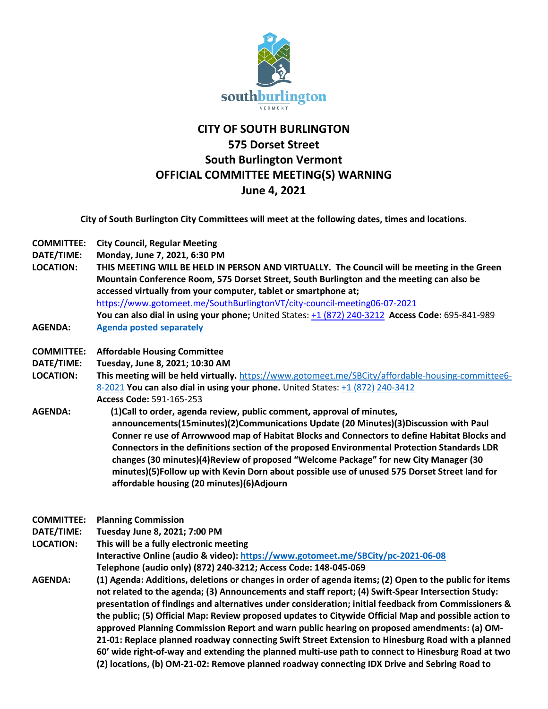

## **CITY OF SOUTH BURLINGTON 575 Dorset Street South Burlington Vermont OFFICIAL COMMITTEE MEETING(S) WARNING June 4, 2021**

**City of South Burlington City Committees will meet at the following dates, times and locations.**

**COMMITTEE: City Council, Regular Meeting**

**DATE/TIME: Monday, June 7, 2021, 6:30 PM**

- **LOCATION: THIS MEETING WILL BE HELD IN PERSON AND VIRTUALLY. The Council will be meeting in the Green Mountain Conference Room, 575 Dorset Street, South Burlington and the meeting can also be accessed virtually from your computer, tablet or smartphone at;** <https://www.gotomeet.me/SouthBurlingtonVT/city-council-meeting06-07-2021> **You can also dial in using your phone;** United States: [+1 \(872\) 240-3212](tel:+18722403212,,695841989) **Access Code:** 695-841-989
- **AGENDA: [Agenda posted separately](https://sbvt-records.info/WebLink/Browse.aspx?id=206589&dbid=0&repo=sburl)**
- **COMMITTEE: Affordable Housing Committee**

**DATE/TIME: Tuesday, June 8, 2021; 10:30 AM**

- **LOCATION: This meeting will be held virtually.** [https://www.gotomeet.me/SBCity/affordable-housing-committee6-](https://www.gotomeet.me/SBCity/affordable-housing-committee6-8-2021) [8-2021](https://www.gotomeet.me/SBCity/affordable-housing-committee6-8-2021) **You can also dial in using your phone.** United States[: +1 \(872\) 240-3412](tel:+18722403412,,591165253) **Access Code:** 591-165-253
- **AGENDA: (1)Call to order, agenda review, public comment, approval of minutes, announcements(15minutes)(2)Communications Update (20 Minutes)(3)Discussion with Paul Conner re use of Arrowwood map of Habitat Blocks and Connectors to define Habitat Blocks and Connectors in the definitions section of the proposed Environmental Protection Standards LDR changes (30 minutes)(4)Review of proposed "Welcome Package" for new City Manager (30 minutes)(5)Follow up with Kevin Dorn about possible use of unused 575 Dorset Street land for affordable housing (20 minutes)(6)Adjourn**

**COMMITTEE: Planning Commission**

**DATE/TIME: Tuesday June 8, 2021; 7:00 PM**

**LOCATION: This will be a fully electronic meeting**

**Interactive Online (audio & video):<https://www.gotomeet.me/SBCity/pc-2021-06-08> Telephone (audio only) (872) 240-3212; Access Code: 148-045-069** 

**AGENDA: (1) Agenda: Additions, deletions or changes in order of agenda items; (2) Open to the public for items not related to the agenda; (3) Announcements and staff report; (4) Swift-Spear Intersection Study: presentation of findings and alternatives under consideration; initial feedback from Commissioners & the public; (5) Official Map: Review proposed updates to Citywide Official Map and possible action to approved Planning Commission Report and warn public hearing on proposed amendments: (a) OM-21-01: Replace planned roadway connecting Swift Street Extension to Hinesburg Road with a planned 60' wide right-of-way and extending the planned multi-use path to connect to Hinesburg Road at two (2) locations, (b) OM-21-02: Remove planned roadway connecting IDX Drive and Sebring Road to**